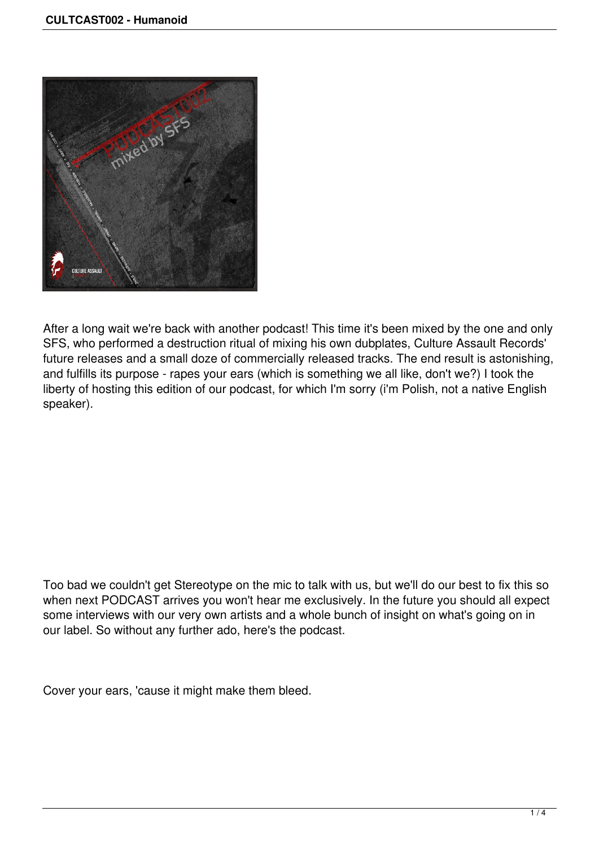

After a long wait we're back with another podcast! This time it's been mixed by the one and only SFS, who performed a destruction ritual of mixing his own dubplates, Culture Assault Records' future releases and a small doze of commercially released tracks. The end result is astonishing, and fulfills its purpose - rapes your ears (which is something we all like, don't we?) I took the liberty of hosting this edition of our podcast, for which I'm sorry (i'm Polish, not a native English speaker).

Too bad we couldn't get Stereotype on the mic to talk with us, but we'll do our best to fix this so when next PODCAST arrives you won't hear me exclusively. In the future you should all expect some interviews with our very own artists and a whole bunch of insight on what's going on in our label. So without any further ado, here's the podcast.

Cover your ears, 'cause it might make them bleed.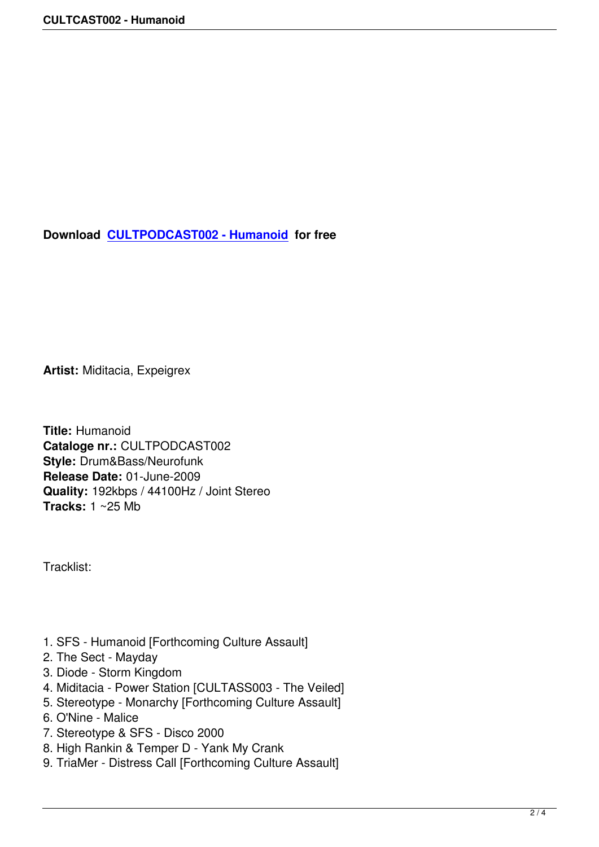**Download CULTPODCAST002 - Humanoid for free** 

**Artist:** Miditacia, Expeigrex

**Title:** Humanoid **Cataloge nr.:** CULTPODCAST002 **Style:** Drum&Bass/Neurofunk **Release Date:** 01-June-2009 **Quality:** 192kbps / 44100Hz / Joint Stereo **Tracks:** 1 ~25 Mb

Tracklist:

- 1. SFS Humanoid [Forthcoming Culture Assault]
- 2. The Sect Mayday
- 3. Diode Storm Kingdom
- 4. Miditacia Power Station [CULTASS003 The Veiled]
- 5. Stereotype Monarchy [Forthcoming Culture Assault]
- 6. O'Nine Malice
- 7. Stereotype & SFS Disco 2000
- 8. High Rankin & Temper D Yank My Crank
- 9. TriaMer Distress Call [Forthcoming Culture Assault]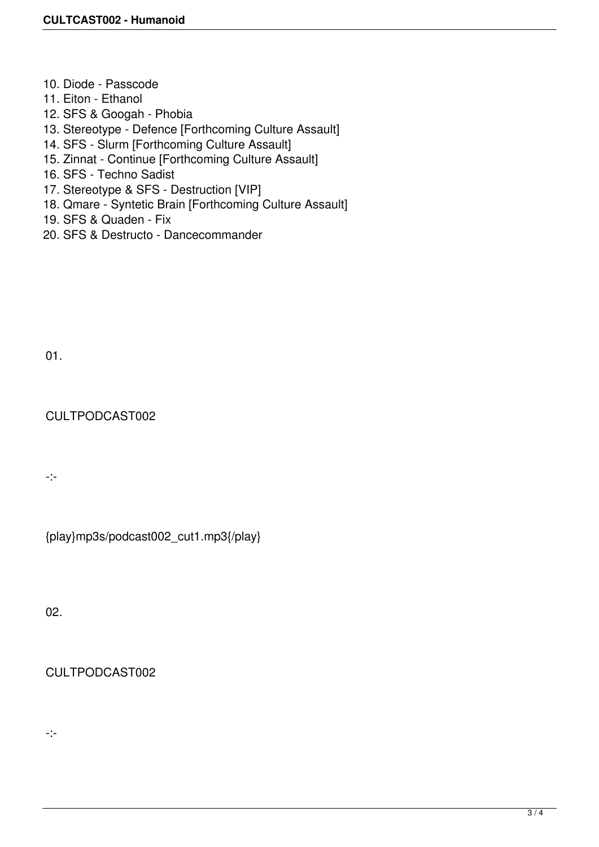- 10. Diode Passcode
- 11. Eiton Ethanol
- 12. SFS & Googah Phobia
- 13. Stereotype Defence [Forthcoming Culture Assault]
- 14. SFS Slurm [Forthcoming Culture Assault]
- 15. Zinnat Continue [Forthcoming Culture Assault]
- 16. SFS Techno Sadist
- 17. Stereotype & SFS Destruction [VIP]
- 18. Qmare Syntetic Brain [Forthcoming Culture Assault]
- 19. SFS & Quaden Fix
- 20. SFS & Destructo Dancecommander

01.

## CULTPODCAST002

-:-

{play}mp3s/podcast002\_cut1.mp3{/play}

02.

## CULTPODCAST002

-:-